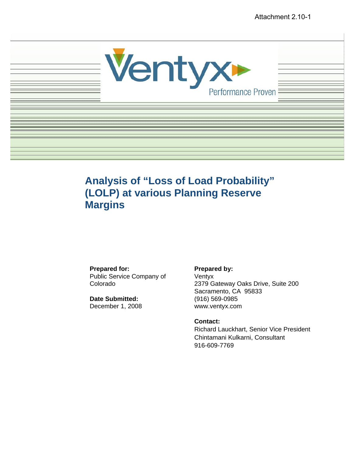

# **Analysis of "Loss of Load Probability" (LOLP) at various Planning Reserve Margins**

#### **Prepared for:**

Public Service Company of Colorado

**Date Submitted:**  December 1, 2008

#### **Prepared by:**

Ventyx 2379 Gateway Oaks Drive, Suite 200 Sacramento, CA 95833 (916) 569-0985 www.ventyx.com

#### **Contact:**

Richard Lauckhart, Senior Vice President Chintamani Kulkarni, Consultant 916-609-7769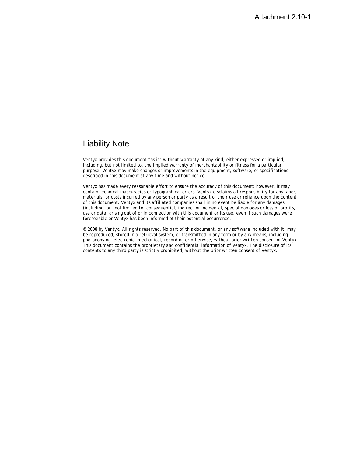## Liability Note

Ventyx provides this document "as is" without warranty of any kind, either expressed or implied, including, but not limited to, the implied warranty of merchantability or fitness for a particular purpose. Ventyx may make changes or improvements in the equipment, software, or specifications described in this document at any time and without notice.

Ventyx has made every reasonable effort to ensure the accuracy of this document; however, it may contain technical inaccuracies or typographical errors. Ventyx disclaims all responsibility for any labor, materials, or costs incurred by any person or party as a result of their use or reliance upon the content of this document. Ventyx and its affiliated companies shall in no event be liable for any damages (including, but not limited to, consequential, indirect or incidental, special damages or loss of profits, use or data) arising out of or in connection with this document or its use, even if such damages were foreseeable or Ventyx has been informed of their potential occurrence.

© 2008 by Ventyx. All rights reserved. No part of this document, or any software included with it, may be reproduced, stored in a retrieval system, or transmitted in any form or by any means, including photocopying, electronic, mechanical, recording or otherwise, without prior written consent of Ventyx. This document contains the proprietary and confidential information of Ventyx. The disclosure of its contents to any third party is strictly prohibited, without the prior written consent of Ventyx.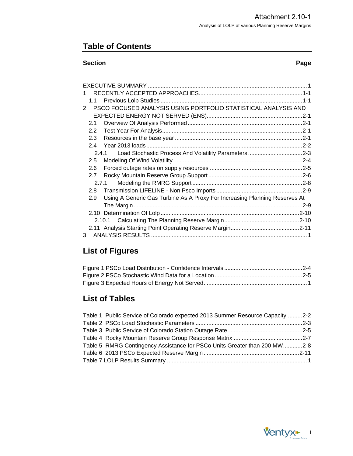## **Table of Contents**

#### **Section Page**

|   | 1.1           |                                                                            |  |
|---|---------------|----------------------------------------------------------------------------|--|
| 2 |               | PSCO FOCUSED ANALYSIS USING PORTFOLIO STATISTICAL ANALYSIS AND             |  |
|   |               |                                                                            |  |
|   | 2.1           |                                                                            |  |
|   | $2.2^{\circ}$ |                                                                            |  |
|   | 2.3           |                                                                            |  |
|   | 2.4           |                                                                            |  |
|   | 2.4.1         | Load Stochastic Process And Volatility Parameters2-3                       |  |
|   | 2.5           |                                                                            |  |
|   | 2.6           |                                                                            |  |
|   | 2.7           |                                                                            |  |
|   |               | 2.7.1                                                                      |  |
|   | 2.8           |                                                                            |  |
|   | 2.9           | Using A Generic Gas Turbine As A Proxy For Increasing Planning Reserves At |  |
|   |               |                                                                            |  |
|   |               |                                                                            |  |
|   |               | 2.10.1                                                                     |  |
|   |               |                                                                            |  |
| 3 |               |                                                                            |  |
|   |               |                                                                            |  |

# **List of Figures**

## **List of Tables**

| Table 1 Public Service of Colorado expected 2013 Summer Resource Capacity 2-2 |  |
|-------------------------------------------------------------------------------|--|
|                                                                               |  |
|                                                                               |  |
|                                                                               |  |
| Table 5 RMRG Contingency Assistance for PSCo Units Greater than 200 MW2-8     |  |
|                                                                               |  |
|                                                                               |  |

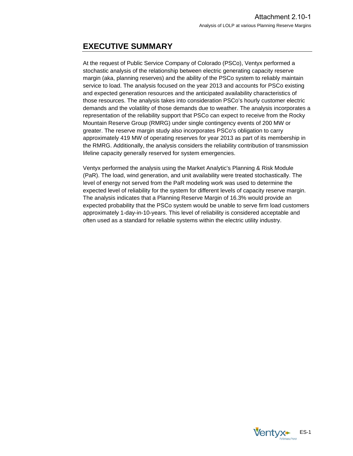# <span id="page-4-0"></span>**EXECUTIVE SUMMARY**

At the request of Public Service Company of Colorado (PSCo), Ventyx performed a stochastic analysis of the relationship between electric generating capacity reserve margin (aka, planning reserves) and the ability of the PSCo system to reliably maintain service to load. The analysis focused on the year 2013 and accounts for PSCo existing and expected generation resources and the anticipated availability characteristics of those resources. The analysis takes into consideration PSCo's hourly customer electric demands and the volatility of those demands due to weather. The analysis incorporates a representation of the reliability support that PSCo can expect to receive from the Rocky Mountain Reserve Group (RMRG) under single contingency events of 200 MW or greater. The reserve margin study also incorporates PSCo's obligation to carry approximately 419 MW of operating reserves for year 2013 as part of its membership in the RMRG. Additionally, the analysis considers the reliability contribution of transmission lifeline capacity generally reserved for system emergencies.

Ventyx performed the analysis using the Market Analytic's Planning & Risk Module (PaR). The load, wind generation, and unit availability were treated stochastically. The level of energy not served from the PaR modeling work was used to determine the expected level of reliability for the system for different levels of capacity reserve margin. The analysis indicates that a Planning Reserve Margin of 16.3% would provide an expected probability that the PSCo system would be unable to serve firm load customers approximately 1-day-in-10-years. This level of reliability is considered acceptable and often used as a standard for reliable systems within the electric utility industry.

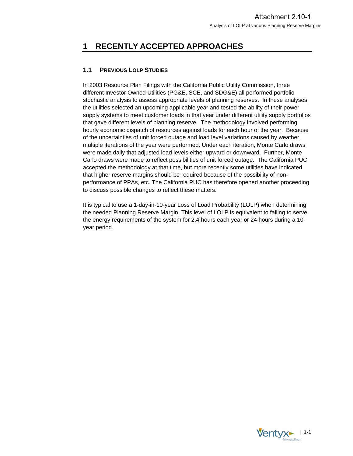## <span id="page-5-0"></span>**1 RECENTLY ACCEPTED APPROACHES**

## **1.1 PREVIOUS LOLP STUDIES**

In 2003 Resource Plan Filings with the California Public Utility Commission, three different Investor Owned Utilities (PG&E, SCE, and SDG&E) all performed portfolio stochastic analysis to assess appropriate levels of planning reserves. In these analyses, the utilities selected an upcoming applicable year and tested the ability of their power supply systems to meet customer loads in that year under different utility supply portfolios that gave different levels of planning reserve. The methodology involved performing hourly economic dispatch of resources against loads for each hour of the year. Because of the uncertainties of unit forced outage and load level variations caused by weather, multiple iterations of the year were performed. Under each iteration, Monte Carlo draws were made daily that adjusted load levels either upward or downward. Further, Monte Carlo draws were made to reflect possibilities of unit forced outage. The California PUC accepted the methodology at that time, but more recently some utilities have indicated that higher reserve margins should be required because of the possibility of nonperformance of PPAs, etc. The California PUC has therefore opened another proceeding to discuss possible changes to reflect these matters.

It is typical to use a 1-day-in-10-year Loss of Load Probability (LOLP) when determining the needed Planning Reserve Margin. This level of LOLP is equivalent to failing to serve the energy requirements of the system for 2.4 hours each year or 24 hours during a 10 year period.

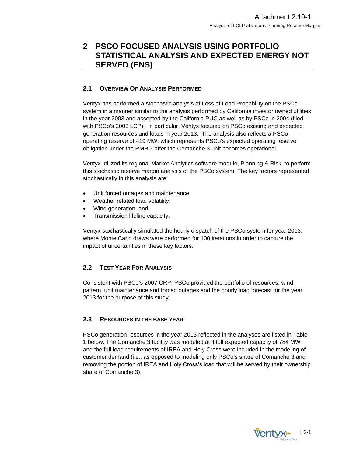## <span id="page-6-0"></span>**2 PSCO FOCUSED ANALYSIS USING PORTFOLIO STATISTICAL ANALYSIS AND EXPECTED ENERGY NOT SERVED (ENS)**

### **2.1 OVERVIEW OF ANALYSIS PERFORMED**

Ventyx has performed a stochastic analysis of Loss of Load Probability on the PSCo system in a manner similar to the analysis performed by California investor owned utilities in the year 2003 and accepted by the California PUC as well as by PSCo in 2004 (filed with PSCo's 2003 LCP). In particular, Ventyx focused on PSCo existing and expected generation resources and loads in year 2013. The analysis also reflects a PSCo operating reserve of 419 MW, which represents PSCo's expected operating reserve obligation under the RMRG after the Comanche 3 unit becomes operational.

Ventyx utilized its regional Market Analytics software module, Planning & Risk, to perform this stochastic reserve margin analysis of the PSCo system. The key factors represented stochastically in this analysis are:

- Unit forced outages and maintenance,
- Weather related load volatility,
- Wind generation, and
- Transmission lifeline capacity.

Ventyx stochastically simulated the hourly dispatch of the PSCo system for year 2013, where Monte Carlo draws were performed for 100 iterations in order to capture the impact of uncertainties in these key factors.

## **2.2 TEST YEAR FOR ANALYSIS**

Consistent with PSCo's 2007 CRP, PSCo provided the portfolio of resources, wind pattern, unit maintenance and forced outages and the hourly load forecast for the year 2013 for the purpose of this study.

#### **2.3 RESOURCES IN THE BASE YEAR**

PSCo generation resources in the year 2013 reflected in the analyses are listed in Table 1 below. The Comanche 3 facility was modeled at it full expected capacity of 784 MW and the full load requirements of IREA and Holy Cross were included in the modeling of customer demand (i.e., as opposed to modeling only PSCo's share of Comanche 3 and removing the portion of IREA and Holy Cross's load that will be served by their ownership share of Comanche 3).

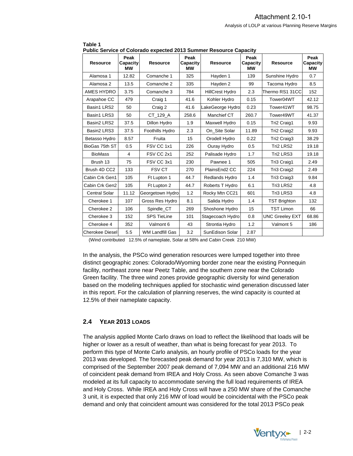| Public Service of Colorado expected 2013 Summer Resource Capacity |       |                        |                        |                        |                        |                        |                               |  |  |  |  |
|-------------------------------------------------------------------|-------|------------------------|------------------------|------------------------|------------------------|------------------------|-------------------------------|--|--|--|--|
| Peak<br><b>Resource</b><br><b>Capacity</b><br>МW                  |       | <b>Resource</b>        | Peak<br>Capacity<br>МW | <b>Resource</b>        | Peak<br>Capacity<br>МW | Resource               | Peak<br>Capacity<br><b>MW</b> |  |  |  |  |
| Alamosa 1                                                         | 12.82 | Comanche 1             | 325                    | Hayden 1               | 139                    | Sunshine Hydro         | 0.7                           |  |  |  |  |
| Alamosa 2                                                         | 13.5  | Comanche 2             | 335                    | Hayden 2               | 99                     | Tacoma Hydro           | 8.5                           |  |  |  |  |
| AMES HYDRO                                                        | 3.75  | Comanche 3             | 784                    | <b>HillCrest Hydro</b> | 2.3                    | Thermo RS1 31CC        | 152                           |  |  |  |  |
| Arapahoe CC                                                       | 479   | Craig 1                | 41.6                   | Kohler Hydro           | 0.15                   | Tower04WT              | 42.12                         |  |  |  |  |
| Basin1 LRS2                                                       | 50    | Craig 2                | 41.6                   | LakeGeorge Hydro       | 0.23                   | Tower41WT              | 98.75                         |  |  |  |  |
| Basin1 LRS3                                                       | 50    | CT_129_A               | 258.6                  | Manchief CT            | 260.7                  | Tower49WT              | 41.37                         |  |  |  |  |
| Basin2 LRS2                                                       | 37.5  | Dillon Hydro           | 1.9                    | Maxwell Hydro          | 0.15                   | Tri2 Craig1            | 9.93                          |  |  |  |  |
| Basin2 LRS3                                                       | 37.5  | Foothills Hydro        | 2.3                    | On Site Solar          | 11.89                  | Tri2 Craig2            | 9.93                          |  |  |  |  |
| Betasso Hydro                                                     | 8.57  | Fruita                 | 15                     | Orodell Hydro          | 0.22                   | Tri2 Craig3            | 38.29                         |  |  |  |  |
| BioGas 75th ST                                                    | 0.5   | FSV CC 1x1             | 226                    | Ouray Hydro            | 0.5                    | Tri2 LRS2              | 19.18                         |  |  |  |  |
| <b>BioMass</b>                                                    | 4     | FSV CC 2x1             | 252                    | Palisade Hydro         | 1.7                    | Tri2 LRS3              | 19.18                         |  |  |  |  |
| Brush 13                                                          | 75    | FSV CC 3x1             | 230                    | Pawnee 1               | 505                    | Tri3 Craig1            | 2.49                          |  |  |  |  |
| Brush 4D CC2                                                      | 133   | <b>FSV CT</b>          | 270                    | PlainsEnd2 CC          | 224                    | Tri3 Craig2            | 2.49                          |  |  |  |  |
| Cabin Crk Gen1                                                    | 105   | Ft Lupton 1            | 44.7                   | Redlands Hydro         | 1.4                    | Tri3 Craig3            | 9.84                          |  |  |  |  |
| Cabin Crk Gen2                                                    | 105   | Ft Lupton 2            | 44.7                   | Roberts T Hydro        | 6.1                    | Tri3 LRS2              | 4.8                           |  |  |  |  |
| Central Solar                                                     | 11.12 | Georgetown Hydro       | 1.2                    | Rocky Mtn CC21         | 601                    | Tri3 LRS3              | 4.8                           |  |  |  |  |
| Cherokee 1                                                        | 107   | Gross Res Hydro        | 8.1                    | Salida Hydro           | 1.4                    | <b>TST Brighton</b>    | 132                           |  |  |  |  |
| Cherokee 2                                                        | 106   | Spindle_CT             | 269                    | Shoshone Hydro         | 15                     | <b>TST Limon</b>       | 66                            |  |  |  |  |
| Cherokee 3                                                        | 152   | <b>SPS TieLine</b>     | 101                    | Stagecoach Hydro       | 0.8                    | <b>UNC Greeley EXT</b> | 68.86                         |  |  |  |  |
| Cherokee 4                                                        | 352   | Valmont 6              | 43                     | Strontia Hydro         | 1.2                    | Valmont 5              | 186                           |  |  |  |  |
| <b>Cherokee Diesel</b>                                            | 5.5   | <b>WM Landfill Gas</b> | 3.2                    | SunEdison Solar        | 2.87                   |                        |                               |  |  |  |  |

<span id="page-7-0"></span>

| Table 1                                                                  |  |
|--------------------------------------------------------------------------|--|
| <b>Public Service of Colorado expected 2013 Summer Resource Capacity</b> |  |

(Wind contributed 12.5% of nameplate, Solar at 58% and Cabin Creek 210 MW)

In the analysis, the PSCo wind generation resources were lumped together into three distinct geographic zones: Colorado/Wyoming border zone near the existing Ponnequin facility, northeast zone near Peetz Table, and the southern zone near the Colorado Green facility. The three wind zones provide geographic diversity for wind generation based on the modeling techniques applied for stochastic wind generation discussed later in this report. For the calculation of planning reserves, the wind capacity is counted at 12.5% of their nameplate capacity.

#### **2.4 YEAR 2013 LOADS**

The analysis applied Monte Carlo draws on load to reflect the likelihood that loads will be higher or lower as a result of weather, than what is being forecast for year 2013. To perform this type of Monte Carlo analysis, an hourly profile of PSCo loads for the year 2013 was developed. The forecasted peak demand for year 2013 is 7,310 MW, which is comprised of the September 2007 peak demand of 7,094 MW and an additional 216 MW of coincident peak demand from IREA and Holy Cross. As seen above Comanche 3 was modeled at its full capacity to accommodate serving the full load requirements of IREA and Holy Cross. While IREA and Holy Cross will have a 250 MW share of the Comanche 3 unit, it is expected that only 216 MW of load would be coincidental with the PSCo peak demand and only that coincident amount was considered for the total 2013 PSCo peak

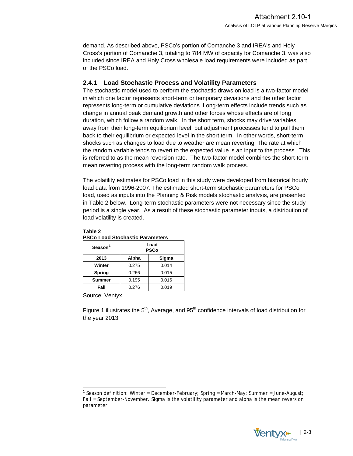<span id="page-8-0"></span>demand. As described above, PSCo's portion of Comanche 3 and IREA's and Holy Cross's portion of Comanche 3, totaling to 784 MW of capacity for Comanche 3, was also included since IREA and Holy Cross wholesale load requirements were included as part of the PSCo load.

#### **2.4.1 Load Stochastic Process and Volatility Parameters**

The stochastic model used to perform the stochastic draws on load is a two-factor model in which one factor represents short-term or temporary deviations and the other factor represents long-term or cumulative deviations. Long-term effects include trends such as change in annual peak demand growth and other forces whose effects are of long duration, which follow a random walk. In the short term, shocks may drive variables away from their long-term equilibrium level, but adjustment processes tend to pull them back to their equilibrium or expected level in the short term. In other words, short-term shocks such as changes to load due to weather are mean reverting. The rate at which the random variable tends to revert to the expected value is an input to the process. This is referred to as the mean reversion rate. The two-factor model combines the short-term mean reverting process with the long-term random walk process.

The volatility estimates for PSCo load in this study were developed from historical hourly load data from 1996-2007. The estimated short-term stochastic parameters for PSCo load, used as inputs into the Planning & Risk models stochastic analysis, are presented in Table 2 below. Long-term stochastic parameters were not necessary since the study period is a single year. As a result of these stochastic parameter inputs, a distribution of load volatility is created.

| T OOO LOGG OLOGHGOLIG T GIGHTCLOIS |                     |       |  |  |  |  |  |  |  |
|------------------------------------|---------------------|-------|--|--|--|--|--|--|--|
| Season <sup>1</sup>                | Load<br><b>PSCo</b> |       |  |  |  |  |  |  |  |
| 2013                               | Alpha               | Sigma |  |  |  |  |  |  |  |
| Winter                             | 0.275               | 0.014 |  |  |  |  |  |  |  |
| <b>Spring</b>                      | 0.266               | 0.015 |  |  |  |  |  |  |  |
| <b>Summer</b>                      | 0.195<br>0.016      |       |  |  |  |  |  |  |  |
| Fall                               | 0.276<br>0.019      |       |  |  |  |  |  |  |  |
| $\cdot$                            |                     |       |  |  |  |  |  |  |  |

#### **Table 2 PSCo Load Stochastic Parameters**

Source: Ventyx.

-

Figure 1 illustrates the  $5<sup>th</sup>$ , Average, and  $95<sup>th</sup>$  confidence intervals of load distribution for the year 2013.

<span id="page-8-1"></span><sup>1</sup> Season definition: Winter = December-February; Spring = March-May; Summer = June-August; Fall = September-November. Sigma is the volatility parameter and alpha is the mean reversion parameter.

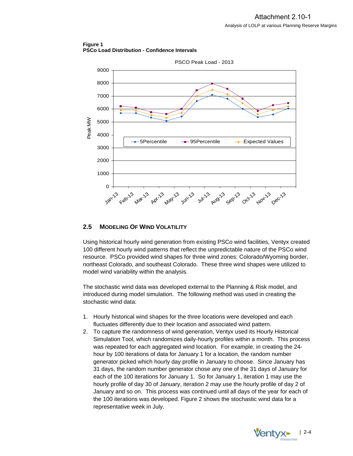<span id="page-9-0"></span>**Figure 1 PSCo Load Distribution - Confidence Intervals** 



#### **2.5 MODELING OF WIND VOLATILITY**

Using historical hourly wind generation from existing PSCo wind facilities, Ventyx created 100 different hourly wind patterns that reflect the unpredictable nature of the PSCo wind resource. PSCo provided wind shapes for three wind zones: Colorado/Wyoming border, northeast Colorado, and southeast Colorado. These three wind shapes were utilized to model wind variability within the analysis.

The stochastic wind data was developed external to the Planning & Risk model, and introduced during model simulation. The following method was used in creating the stochastic wind data:

- 1. Hourly historical wind shapes for the three locations were developed and each fluctuates differently due to their location and associated wind pattern.
- 2. To capture the randomness of wind generation, Ventyx used its Hourly Historical Simulation Tool, which randomizes daily-hourly profiles within a month. This process was repeated for each aggregated wind location. For example, in creating the 24 hour by 100 iterations of data for January 1 for a location, the random number generator picked which hourly day profile in January to choose. Since January has 31 days, the random number generator chose any one of the 31 days of January for each of the 100 iterations for January 1. So for January 1, iteration 1 may use the hourly profile of day 30 of January, iteration 2 may use the hourly profile of day 2 of January and so on. This process was continued until all days of the year for each of the 100 iterations was developed. Figure 2 shows the stochastic wind data for a representative week in July.

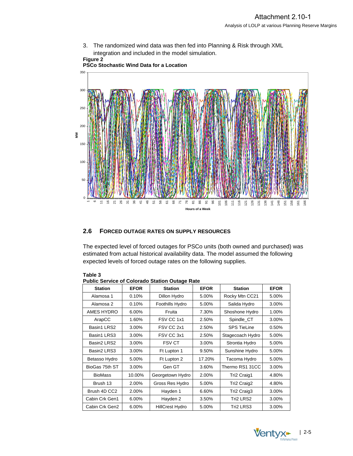<span id="page-10-0"></span>

integration and included in the model simulation. **Figure 2** 



#### **2.6 FORCED OUTAGE RATES ON SUPPLY RESOURCES**

The expected level of forced outages for PSCo units (both owned and purchased) was estimated from actual historical availability data. The model assumed the following expected levels of forced outage rates on the following supplies.

| Public Service of Colorado Station Outage Rate |             |                        |             |                    |             |  |  |  |  |  |  |
|------------------------------------------------|-------------|------------------------|-------------|--------------------|-------------|--|--|--|--|--|--|
| <b>Station</b>                                 | <b>EFOR</b> | <b>Station</b>         | <b>EFOR</b> | <b>Station</b>     | <b>EFOR</b> |  |  |  |  |  |  |
| Alamosa 1                                      | 0.10%       | Dillon Hydro           | 5.00%       | Rocky Mtn CC21     | 5.00%       |  |  |  |  |  |  |
| Alamosa 2                                      | 0.10%       | Foothills Hydro        | 5.00%       | Salida Hydro       | 3.00%       |  |  |  |  |  |  |
| AMES HYDRO                                     | 6.00%       | Fruita                 | 7.30%       | Shoshone Hydro     | 1.00%       |  |  |  |  |  |  |
| ArapCC                                         | 1.60%       | FSV CC 1x1             | 2.50%       | Spindle_CT         | 3.00%       |  |  |  |  |  |  |
| Basin1 LRS2                                    | 3.00%       | FSV CC 2x1             | 2.50%       | <b>SPS TieLine</b> | 0.50%       |  |  |  |  |  |  |
| Basin1 LRS3                                    | 3.00%       | FSV CC 3x1             | 2.50%       | Stagecoach Hydro   | 5.00%       |  |  |  |  |  |  |
| Basin2 LRS2                                    | 3.00%       | <b>FSV CT</b>          | 3.00%       |                    | 5.00%       |  |  |  |  |  |  |
| Basin2 LRS3                                    | 3.00%       | Ft Lupton 1            | 9.50%       | Sunshine Hydro     | 5.00%       |  |  |  |  |  |  |
| Betasso Hydro                                  | 5.00%       | Ft Lupton 2            | 17.20%      | Tacoma Hydro       | 5.00%       |  |  |  |  |  |  |
| BioGas 75th ST                                 | 3.00%       | Gen GT                 | 3.60%       | Thermo RS1 31CC    | 3.00%       |  |  |  |  |  |  |
| <b>BioMass</b>                                 | 10.00%      | Georgetown Hydro       | 2.00%       | Tri2 Craig1        | 4.80%       |  |  |  |  |  |  |
| Brush 13                                       | 2.00%       | Gross Res Hydro        | 5.00%       | Tri2 Craig2        | 4.80%       |  |  |  |  |  |  |
| Brush 4D CC2                                   | 2.00%       | Hayden 1               | 6.60%       | Tri2 Craig3        | 3.00%       |  |  |  |  |  |  |
| Cabin Crk Gen1                                 | 6.00%       | Hayden 2               | 3.50%       | Tri2 LRS2          | 3.00%       |  |  |  |  |  |  |
| Cabin Crk Gen2                                 | 6.00%       | <b>HillCrest Hydro</b> | 5.00%       | Tri2 LRS3          | 3.00%       |  |  |  |  |  |  |

**Table 3 Public Service of Colorado Station Outage Rate** 

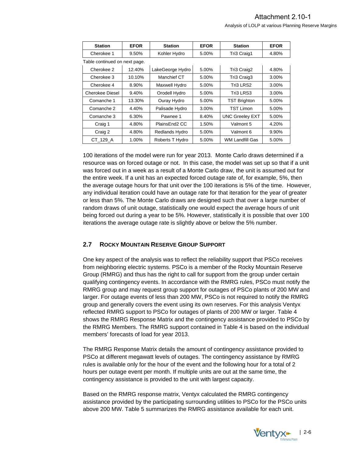<span id="page-11-0"></span>

| <b>Station</b>                | <b>EFOR</b>       | <b>Station</b>         | <b>EFOR</b>     | <b>Station</b>         | <b>EFOR</b> |
|-------------------------------|-------------------|------------------------|-----------------|------------------------|-------------|
| Cherokee 1                    | 9.50%             | Kohler Hydro           | 5.00%           | Tri3 Craig1            | 4.80%       |
| Table continued on next page. |                   |                        |                 |                        |             |
| Cherokee 2                    | 12.40%            | LakeGeorge Hydro       | 5.00%           | Tri3 Craig2            | 4.80%       |
| Cherokee 3                    | 10.10%            | Manchief CT            | 5.00%           | Tri3 Craig3            | 3.00%       |
| Cherokee 4                    | 8.90%             | Maxwell Hydro          | 5.00%           | Tri3 LRS2              | 3.00%       |
| Cherokee Diesel               | 9.40%             | Orodell Hydro<br>5.00% |                 | Tri3 LRS3              | 3.00%       |
| Comanche 1                    | 13.30%            | Ouray Hydro            | 5.00%           | <b>TST Brighton</b>    | 5.00%       |
| Comanche 2                    | 4.40%             | Palisade Hydro         | 3.00%           | <b>TST Limon</b>       | 5.00%       |
| Comanche 3                    | 6.30%<br>Pawnee 1 |                        | 8.40%           | <b>UNC Greeley EXT</b> | 5.00%       |
| Craig 1<br>4.80%              |                   | PlainsEnd2 CC          | 1.50%           | Valmont 5              | 4.20%       |
| Craig 2                       | 4.80%             | Redlands Hydro         | 5.00%           | Valmont 6              | 9.90%       |
| CT 129 A                      | Roberts T Hydro   | 5.00%                  | WM Landfill Gas | 5.00%                  |             |

100 iterations of the model were run for year 2013. Monte Carlo draws determined if a resource was on forced outage or not. In this case, the model was set up so that if a unit was forced out in a week as a result of a Monte Carlo draw, the unit is assumed out for the entire week. If a unit has an expected forced outage rate of, for example, 5%, then the average outage hours for that unit over the 100 iterations is 5% of the time. However, any individual iteration could have an outage rate for that iteration for the year of greater or less than 5%. The Monte Carlo draws are designed such that over a large number of random draws of unit outage, statistically one would expect the average hours of unit being forced out during a year to be 5%. However, statistically it is possible that over 100 iterations the average outage rate is slightly above or below the 5% number.

#### **2.7 ROCKY MOUNTAIN RESERVE GROUP SUPPORT**

One key aspect of the analysis was to reflect the reliability support that PSCo receives from neighboring electric systems. PSCo is a member of the Rocky Mountain Reserve Group (RMRG) and thus has the right to call for support from the group under certain qualifying contingency events. In accordance with the RMRG rules, PSCo must notify the RMRG group and may request group support for outages of PSCo plants of 200 MW and larger. For outage events of less than 200 MW, PSCo is not required to notify the RMRG group and generally covers the event using its own reserves. For this analysis Ventyx reflected RMRG support to PSCo for outages of plants of 200 MW or larger. Table 4 shows the RMRG Response Matrix and the contingency assistance provided to PSCo by the RMRG Members. The RMRG support contained in Table 4 is based on the individual members' forecasts of load for year 2013.

The RMRG Response Matrix details the amount of contingency assistance provided to PSCo at different megawatt levels of outages. The contingency assistance by RMRG rules is available only for the hour of the event and the following hour for a total of 2 hours per outage event per month. If multiple units are out at the same time, the contingency assistance is provided to the unit with largest capacity.

Based on the RMRG response matrix, Ventyx calculated the RMRG contingency assistance provided by the participating surrounding utilities to PSCo for the PSCo units above 200 MW. Table 5 summarizes the RMRG assistance available for each unit.

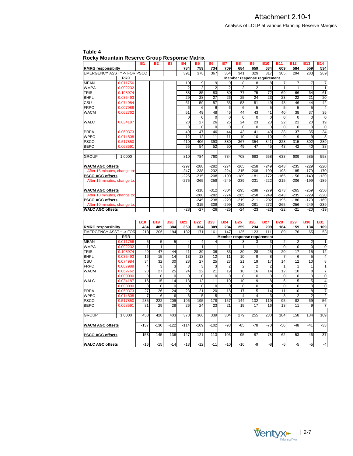|                              |            | <b>B1</b> | <b>B2</b> | $\cdots$<br><b>B3</b> | <b>B4</b>       | <b>B5</b>       | <b>B6</b>      | <b>B7</b>      | <b>B8</b>       | <b>B9</b>                   | <b>B10</b>  | <b>B11</b>  | <b>B12</b>      | <b>B13</b> | <b>B14</b>     |
|------------------------------|------------|-----------|-----------|-----------------------|-----------------|-----------------|----------------|----------------|-----------------|-----------------------------|-------------|-------------|-----------------|------------|----------------|
| <b>RMRG responsibilty</b>    |            |           |           |                       | 784             | 759             | 734            | 709            | 684             | 659                         | 634         | 609         | 584             | 559        | 534            |
| EMERGENCY ASST *-> FOR PSCO  |            |           |           |                       | 391             | 378             | 367            | 354            | 341             | 329                         | 317         | 305         | 294             | 283        | 269            |
|                              | <b>RRR</b> |           |           |                       |                 |                 |                |                |                 | Member response requirement |             |             |                 |            |                |
| <b>MEAN</b>                  | 0.011756   |           |           |                       | 10 <sup>1</sup> | 9               | 9              | 9              | 8               | 8 <sup>1</sup>              | 8           |             |                 |            | $\overline{7}$ |
| <b>WMPA</b>                  | 0.002232   |           |           |                       | 2 <sup>1</sup>  | $\overline{2}$  | $\overline{2}$ | $\overline{2}$ | $\overline{2}$  | $\overline{2}$              | 1           |             |                 |            | $\mathbf{1}$   |
| <b>TRIS</b>                  | 0.108974   |           |           |                       | 88              | 85              | 83             | 80             | $\overline{77}$ | 75                          | 72          | 69          | 66              | 64         | 61             |
| <b>BHPL</b>                  | 0.035493   |           |           |                       | 29              | 28              | 27             | 26             | 25              | 24                          | 23          | 23          | 22              | 21         | 20             |
| CSU                          | 0.074984   |           |           |                       | 61              | 59              | 57             | 55             | 53              | 51                          | 49          | 48          | 46              | 44         | 42             |
| <b>FRPC</b>                  | 0.007988   |           |           |                       | 6               | 6               | 6              | 6              | 6               | 5 <sub>l</sub>              | 5           | 5           | 5               | 5          | $\overline{4}$ |
| <b>WACM</b>                  | 0.062762   |           |           |                       | 51              | 49              | 48             | 46             | 44              | 43                          | 41          | 40          | 38              | 37         | 35             |
|                              |            |           |           |                       | $\mathbf 0$     | $\mathbf 0$     | $\overline{0}$ | $\mathbf 0$    | $\Omega$        | $\overline{0}$              | 0           | 0           | $\Omega$        | $\Omega$   | $\mathbf 0$    |
| <b>WALC</b>                  | 0.034187   |           |           |                       | 28              | $\overline{27}$ | 26             | 25             | 24              | 23                          | 23          | 22          | 21              | 20         | 19             |
|                              |            |           |           |                       | $\Omega$        | $\mathbf 0$     | $\Omega$       | $\mathbf 0$    | $\Omega$        | $\Omega$                    | $\mathbf 0$ | $\mathbf 0$ | $\Omega$        | $\Omega$   | $\mathbf 0$    |
| <b>PRPA</b>                  | 0.060373   |           |           |                       | 49              | 47              | 46             | 44             | 43              | 41                          | 40          | 38          | $\overline{37}$ | 35         | 34             |
| <b>WPEC</b>                  | 0.014808   |           |           |                       | 12              | 12              | 11             | 11             | 10              | 10 <sup>1</sup>             | 10          | 9           | 9               | 9          | 8              |
| <b>PSCO</b>                  | 0.517850   |           |           |                       | 419             | 406             | 393            | 380            | 367             | 354                         | 341         | 328         | 315             | 302        | 289            |
| <b>BEPC</b>                  | 0.068591   |           |           |                       | 55              | 54              | 52             | 50             | 49              | 47                          | 45          | 43          | 42              | 40         | 38             |
|                              |            |           |           |                       |                 |                 |                |                |                 |                             |             |             |                 |            |                |
| <b>GROUP</b>                 | 1.0000     |           |           |                       | 810             | 784             | 760            | 734            | 708             | 683                         | 658         | 633         | 609             | 585        | 558            |
|                              |            |           |           |                       |                 |                 |                |                |                 |                             |             |             |                 |            |                |
| <b>WACM AGC offsets</b>      |            |           |           |                       | $-297$          | $-288$          | $-282$         | $-274$         | $-265$          | $-258$                      | $-249$      | $-243$      | $-235$          | $-229$     | $-220$         |
| After 15 minutes, change to: |            |           |           |                       | $-247$          | $-238$          | $-232$         | $-224$         | $-215$          | $-208$                      | $-199$      | $-193$      | $-185$          | $-179$     | $-170$         |
| <b>PSCO AGC offsets</b>      |            |           |           |                       | $-225$          | $-215$          | $-208$         | $-199$         | $-189$          | $-181$                      | $-172$      | $-165$      | $-156$          | $-149$     | $-139$         |
| After 15 minutes, change to: |            |           |           |                       | $-275$          | $-265$          | $-258$         | $-249$         | $-239$          | $-231$                      | $-222$      | $-215$      | $-206$          | $-199$     | $-189$         |
| <b>WACM AGC offsets</b>      |            |           |           |                       |                 | $-318$          | $-312$         | $-304$         | $-295$          | $-288$                      | $-279$      | $-273$      | $-265$          | $-259$     | $-250$         |
| After 10 minutes, change to: |            |           |           |                       |                 | $-288$          | $-282$         | $-274$         | $-265$          | $-258$                      | $-249$      | $-243$      | $-235$          | $-229$     | $-220$         |
| <b>PSCO AGC offsets</b>      |            |           |           |                       |                 | $-245$          | $-238$         | $-229$         | $-219$          | $-211$                      | $-202$      | $-195$      | $-186$          | $-179$     | $-169$         |
| After 10 minutes, change to: |            |           |           |                       |                 | $-315$          | $-308$         | $-299$         | $-289$          | $-281$                      | $-272$      | $-265$      | $-256$          | $-249$     | $-239$         |
| <b>WALC AGC offsets</b>      |            |           |           |                       | $-28$           | $-27$           | $-26$          | $-25$          | $-24$           | $-23$                       | $-23$       | $-22$       | $-21$           | $-20$      | $-19$          |

<span id="page-12-0"></span>

| Table 4 |                                              |  |  |  |
|---------|----------------------------------------------|--|--|--|
|         | Rocky Mountain Reserve Group Response Matrix |  |  |  |

|                                  |            | <b>B18</b> | <b>B19</b>                  | <b>B20</b>     | <b>B21</b> | <b>B22</b>     | <b>B23</b>     | <b>B24</b>     | <b>B25</b>     | <b>B26</b>     | <b>B27</b>     | <b>B28</b> | <b>B29</b>     | <b>B30</b>     | <b>B31</b>     |
|----------------------------------|------------|------------|-----------------------------|----------------|------------|----------------|----------------|----------------|----------------|----------------|----------------|------------|----------------|----------------|----------------|
| <b>RMRG responsibilty</b>        |            | 434        | 409                         | 384            | 359        | 334            | 309            | 284            | 259            | 234            | 209            | 184        | 159            | 134            | 109            |
| <b>EMERGENCY ASST *-&gt; FOR</b> |            | 218        | 206                         | 194            | 182        | 171            | 161            | 147            | 135            | 123            | 111            | 89         | 76             | 65             | 53             |
|                                  | <b>RRR</b> |            | Member response requirement |                |            |                |                |                |                |                |                |            |                |                |                |
| <b>MEAN</b>                      | 0.011756   | 5          | 5                           | 51             | 4          | 4              | 4              |                | 3              | 3              | 3              | 2          | 2              | 2              | 1              |
| <b>WMPA</b>                      | 0.002232   |            |                             |                |            | 1              |                |                |                |                |                | $\Omega$   | $\Omega$       | $\Omega$       | $\mathbf 0$    |
| <b>TRIS</b>                      | 0.108974   | 49         | 47                          | 44             | 41         | 39             | 36             | 33             | 30             | 28             | 25             | 20         | 17             | 15             | 12             |
| <b>BHPL</b>                      | 0.035493   | 16         | 15                          | 14             | 13         | 13             | 12             | 11             | 10             | 9              | 8              |            | 6              | 5              | 4              |
| CSU                              | 0.074984   | 34         | 32                          | 30             | 28         | 27             | 25             | 23             | 21             | 19             | 17             | 14         | 12             | 10             | 8              |
| <b>FRPC</b>                      | 0.007988   | 4          | 3                           | $\overline{3}$ | 3          | 3              | 3              | $\overline{2}$ | $\overline{2}$ | $\overline{2}$ | $\overline{2}$ |            |                |                | 1              |
| <b>WACM</b>                      | 0.062762   | 28         | 27                          | 25             | 24         | 22             | 21             | 19             | 18             | 16             | 14             | 12         | 10             | 8              | $\overline{7}$ |
|                                  | 0.000000   | $\Omega$   | $\Omega$                    | $\Omega$       | $\Omega$   | $\Omega$       | 0              | $\Omega$       | $\Omega$       | $\Omega$       | $\Omega$       | $\Omega$   | $\Omega$       | $\Omega$       | $\mathbf 0$    |
| WALC                             | 0.034187   | 16         | 15                          | 14             | 13         | 12             | 11             | 10             | 10             | 9              | 8              | 6          | 5              | 5              | 4              |
|                                  | 0.000000   | $\Omega$   | $\Omega$                    | $\Omega$       | $\Omega$   | $\Omega$       | $\overline{0}$ | $\Omega$       | $\Omega$       | $\Omega$       | $\Omega$       | $\Omega$   | $\Omega$       | $\Omega$       | 0              |
| <b>PRPA</b>                      | 0.060373   | 27         | 26                          | 24             | 23         | 21             | 20             | 18             | 17             | 15             | 14             | 11         | 10             | 8              | 7              |
| WPEC                             | 0.014808   | 7          | 6                           | 6              | 6          | 5 <sub>l</sub> | 5              | 5              | 4              | 4              | 3              | 3          | $\overline{2}$ | $\mathfrak{p}$ | $\overline{2}$ |
| <b>PSCO</b>                      | 0.517850   | 235        | 222                         | 209            | 196        | 195            | 178            | 157            | 144            | 132            | 119            | 95         | 82             | 69             | 56             |
| <b>BEPC</b>                      | 0.068591   | 31         | 29                          | 28             | 26         | 24             | 23             | 21             | 19             | 17             | 16             | 13         | 11             | 9              | $\overline{7}$ |
|                                  |            |            |                             |                |            |                |                |                |                |                |                |            |                |                |                |
| <b>GROUP</b>                     | 1.0000     | 453        | 428                         | 403            | 378        | 366            | 339            | 304            | 279            | 255            | 230            | 184        | 158            | 134            | 109            |
|                                  |            |            |                             |                |            |                |                |                |                |                |                |            |                |                |                |
| <b>WACM AGC offsets</b>          |            | $-137$     | $-130$                      | $-122$         | $-114$     | $-109$         | $-102$         | $-93$          | $-85$          | $-78$          | $-70$          | $-56$      | $-48$          | $-41$          | $-33$          |
| <b>PSCO AGC offsets</b>          |            | $-153$     | $-145$                      | $-136$         | $-127$     | $-121$         | $-113$         | $-103$         | $-95$          | $-87$          | $-78$          | $-62$      | $-53$          | $-46$          | $-37$          |
| <b>WALC AGC offsets</b>          |            | $-16$      | $-15$                       | $-14$          | $-13$      | $-12$          | $-11$          | $-10$          | $-10$          | -9             | -8             | -6         | -5             | $-5$           | $-4$           |

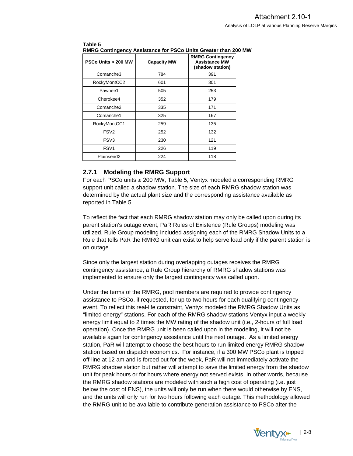| <b>PSCo Units &gt; 200 MW</b> | <b>Capacity MW</b> | <b>RMRG Contingency</b><br><b>Assistance MW</b><br>(shadow station) |
|-------------------------------|--------------------|---------------------------------------------------------------------|
| Comanche3                     | 784                | 391                                                                 |
| RockyMontCC2                  | 601                | 301                                                                 |
| Pawnee1                       | 505                | 253                                                                 |
| Cherokee4                     | 352                | 179                                                                 |
| Comanche <sub>2</sub>         | 335                | 171                                                                 |
| Comanche1                     | 325                | 167                                                                 |
| RockyMontCC1                  | 259                | 135                                                                 |
| FSV <sub>2</sub>              | 252                | 132                                                                 |
| FSV3                          | 230                | 121                                                                 |
| FSV <sub>1</sub>              | 226                | 119                                                                 |
| Plainsend <sub>2</sub>        | 224                | 118                                                                 |

#### <span id="page-13-0"></span>**Table 5 RMRG Contingency Assistance for PSCo Units Greater than 200 MW**

### **2.7.1 Modeling the RMRG Support**

For each PSCo units  $\geq 200$  MW, Table 5, Ventyx modeled a corresponding RMRG support unit called a shadow station. The size of each RMRG shadow station was determined by the actual plant size and the corresponding assistance available as reported in Table 5.

To reflect the fact that each RMRG shadow station may only be called upon during its parent station's outage event, PaR Rules of Existence (Rule Groups) modeling was utilized. Rule Group modeling included assigning each of the RMRG Shadow Units to a Rule that tells PaR the RMRG unit can exist to help serve load only if the parent station is on outage.

Since only the largest station during overlapping outages receives the RMRG contingency assistance, a Rule Group hierarchy of RMRG shadow stations was implemented to ensure only the largest contingency was called upon.

Under the terms of the RMRG, pool members are required to provide contingency assistance to PSCo, if requested, for up to two hours for each qualifying contingency event. To reflect this real-life constraint, Ventyx modeled the RMRG Shadow Units as "limited energy" stations. For each of the RMRG shadow stations Ventyx input a weekly energy limit equal to 2 times the MW rating of the shadow unit (i.e., 2-hours of full load operation). Once the RMRG unit is been called upon in the modeling, it will not be available again for contingency assistance until the next outage. As a limited energy station, PaR will attempt to choose the best hours to run limited energy RMRG shadow station based on dispatch economics. For instance, if a 300 MW PSCo plant is tripped off-line at 12 am and is forced out for the week, PaR will not immediately activate the RMRG shadow station but rather will attempt to save the limited energy from the shadow unit for peak hours or for hours where energy not served exists. In other words, because the RMRG shadow stations are modeled with such a high cost of operating (i.e. just below the cost of ENS), the units will only be run when there would otherwise by ENS, and the units will only run for two hours following each outage. This methodology allowed the RMRG unit to be available to contribute generation assistance to PSCo after the

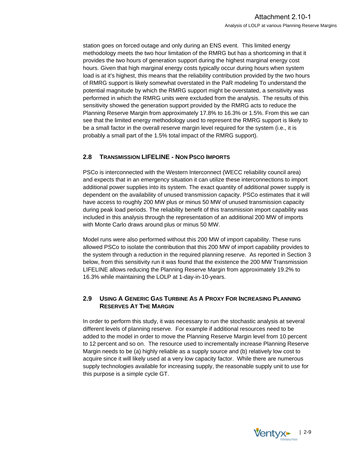<span id="page-14-0"></span>station goes on forced outage and only during an ENS event. This limited energy methodology meets the two hour limitation of the RMRG but has a shortcoming in that it provides the two hours of generation support during the highest marginal energy cost hours. Given that high marginal energy costs typically occur during hours when system load is at it's highest, this means that the reliability contribution provided by the two hours of RMRG support is likely somewhat overstated in the PaR modeling To understand the potential magnitude by which the RMRG support might be overstated, a sensitivity was performed in which the RMRG units were excluded from the analysis. The results of this sensitivity showed the generation support provided by the RMRG acts to reduce the Planning Reserve Margin from approximately 17.8% to 16.3% or 1.5%. From this we can see that the limited energy methodology used to represent the RMRG support is likely to be a small factor in the overall reserve margin level required for the system (i.e., it is probably a small part of the 1.5% total impact of the RMRG support).

#### **2.8 TRANSMISSION LIFELINE - NON PSCO IMPORTS**

PSCo is interconnected with the Western Interconnect (WECC reliability council area) and expects that in an emergency situation it can utilize these interconnections to import additional power supplies into its system. The exact quantity of additional power supply is dependent on the availability of unused transmission capacity. PSCo estimates that it will have access to roughly 200 MW plus or minus 50 MW of unused transmission capacity during peak load periods. The reliability benefit of this transmission import capability was included in this analysis through the representation of an additional 200 MW of imports with Monte Carlo draws around plus or minus 50 MW.

Model runs were also performed without this 200 MW of import capability. These runs allowed PSCo to isolate the contribution that this 200 MW of import capability provides to the system through a reduction in the required planning reserve. As reported in Section 3 below, from this sensitivity run it was found that the existence the 200 MW Transmission LIFELINE allows reducing the Planning Reserve Margin from approximately 19.2% to 16.3% while maintaining the LOLP at 1-day-in-10-years.

#### **2.9 USING A GENERIC GAS TURBINE AS A PROXY FOR INCREASING PLANNING RESERVES AT THE MARGIN**

In order to perform this study, it was necessary to run the stochastic analysis at several different levels of planning reserve. For example if additional resources need to be added to the model in order to move the Planning Reserve Margin level from 10 percent to 12 percent and so on. The resource used to incrementally increase Planning Reserve Margin needs to be (a) highly reliable as a supply source and (b) relatively low cost to acquire since it will likely used at a very low capacity factor. While there are numerous supply technologies available for increasing supply, the reasonable supply unit to use for this purpose is a simple cycle GT.

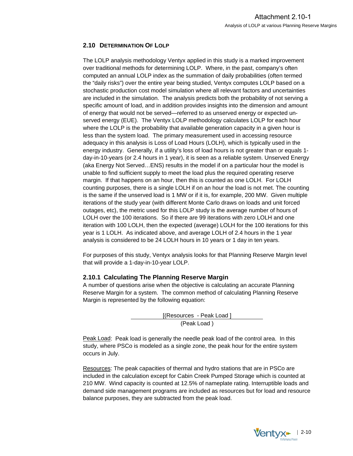### <span id="page-15-0"></span>**2.10 DETERMINATION OF LOLP**

The LOLP analysis methodology Ventyx applied in this study is a marked improvement over traditional methods for determining LOLP. Where, in the past, company's often computed an annual LOLP index as the summation of daily probabilities (often termed the "daily risks") over the entire year being studied, Ventyx computes LOLP based on a stochastic production cost model simulation where all relevant factors and uncertainties are included in the simulation. The analysis predicts both the probability of not serving a specific amount of load, and in addition provides insights into the dimension and amount of energy that would not be served—referred to as unserved energy or expected unserved energy (EUE). The Ventyx LOLP methodology calculates LOLP for each hour where the LOLP is the probability that available generation capacity in a given hour is less than the system load. The primary measurement used in accessing resource adequacy in this analysis is Loss of Load Hours (LOLH), which is typically used in the energy industry. Generally, if a utility's loss of load hours is not greater than or equals 1 day-in-10-years (or 2.4 hours in 1 year), it is seen as a reliable system. Unserved Energy (aka Energy Not Served…ENS) results in the model if on a particular hour the model is unable to find sufficient supply to meet the load plus the required operating reserve margin. If that happens on an hour, then this is counted as one LOLH. For LOLH counting purposes, there is a single LOLH if on an hour the load is not met. The counting is the same if the unserved load is 1 MW or if it is, for example, 200 MW. Given multiple iterations of the study year (with different Monte Carlo draws on loads and unit forced outages, etc), the metric used for this LOLP study is the average number of hours of LOLH over the 100 iterations. So if there are 99 iterations with zero LOLH and one iteration with 100 LOLH, then the expected (average) LOLH for the 100 iterations for this year is 1 LOLH. As indicated above, and average LOLH of 2.4 hours in the 1 year analysis is considered to be 24 LOLH hours in 10 years or 1 day in ten years.

For purposes of this study, Ventyx analysis looks for that Planning Reserve Margin level that will provide a 1-day-in-10-year LOLP.

#### **2.10.1 Calculating The Planning Reserve Margin**

A number of questions arise when the objective is calculating an accurate Planning Reserve Margin for a system.The common method of calculating Planning Reserve Margin is represented by the following equation:

> [(Resources - Peak Load] (Peak Load )

Peak Load: Peak load is generally the needle peak load of the control area. In this study, where PSCo is modeled as a single zone, the peak hour for the entire system occurs in July.

Resources: The peak capacities of thermal and hydro stations that are in PSCo are included in the calculation except for Cabin Creek Pumped Storage which is counted at 210 MW. Wind capacity is counted at 12.5% of nameplate rating. Interruptible loads and demand side management programs are included as resources but for load and resource balance purposes, they are subtracted from the peak load.

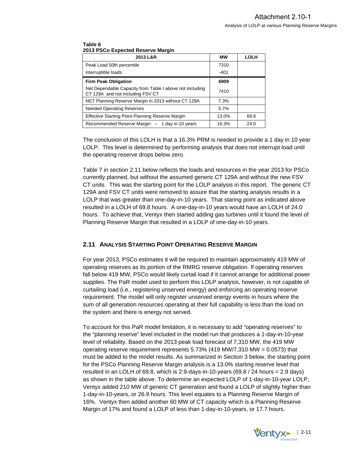| 2013 L&R                                                                                     | МW     | <b>LOLH</b> |
|----------------------------------------------------------------------------------------------|--------|-------------|
| Peak Load 50th percentile                                                                    | 7310   |             |
| interruptible loads                                                                          | $-401$ |             |
| <b>Firm Peak Obligation</b>                                                                  | 6909   |             |
| Net Dependable Capacity from Table I above not including<br>CT 129A and not including FSV CT | 7410   |             |
| NET Planning Reserve Margin in 2013 without CT 129A                                          | 7.3%   |             |
| <b>Needed Operating Reserves</b>                                                             | 5.7%   |             |
| <b>Effective Starting Point Planning Reserve Margin</b>                                      | 13.0%  | 69.8        |
| Recommended Reserve Margin -- 1 day in 10 years                                              | 16.3%  | 24.0        |

#### <span id="page-16-0"></span>**Table 6 2013 PSCo Expected Reserve Margin**

The conclusion of this LOLH is that a 16.3% PRM is needed to provide a 1 day in 10 year LOLP. This level is determined by performing analysis that does not interrupt load until the operating reserve drops below zero.

Table 7 in section 2.11 below reflects the loads and resources in the year 2013 for PSCo currently planned, but without the assumed generic CT 129A and without the new FSV CT units. This was the starting point for the LOLP analysis in this report. The generic CT 129A and FSV CT units were removed to assure that the starting analysis results in a LOLP that was greater than one-day-in-10 years. That staring point as indicated above resulted in a LOLH of 69.8 hours. A one-day-in-10 years would have an LOLH of 24.0 hours. To achieve that, Ventyx then started adding gas turbines until it found the level of Planning Reserve Margin that resulted in a LOLP of one-day-in-10 years.

#### **2.11 ANALYSIS STARTING POINT OPERATING RESERVE MARGIN**

For year 2013, PSCo estimates it will be required to maintain approximately 419 MW of operating reserves as its portion of the RMRG reserve obligation. If operating reserves fall below 419 MW, PSCo would likely curtail load if it cannot arrange for additional power supplies. The PaR model used to perform this LOLP analysis, however, is not capable of curtailing load (i.e., registering unserved energy) and enforcing an operating reserve requirement. The model will only register unserved energy events in hours where the sum of all generation resources operating at their full capability is less than the load on the system and there is energy not served.

To account for this PaR model limitation, it is necessary to add "operating reserves" to the "planning reserve" level included in the model run that produces a 1-day-in-10-year level of reliability. Based on the 2013 peak load forecast of 7,310 MW, the 419 MW operating reserve requirement represents  $5.73\%$  (419 MW/7,310 MW = 0.0573) that must be added to the model results. As summarized in Section 3 below, the starting point for the PSCo Planning Reserve Margin analysis is a 13.0% starting reserve level that resulted in an LOLH of 69.8, which is 2.9-days-in-10-years  $(69.8 / 24$  hours = 2.9 days) as shown in the table above. To determine an expected LOLP of 1-day-in-10-year LOLP, Ventyx added 210 MW of generic CT generation and found a LOLP of slightly higher than 1-day-in-10-years, or 26.9 hours. This level equates to a Planning Reserve Margin of 16%. Ventyx then added another 60 MW of CT capacity which is a Planning Reserve Margin of 17% and found a LOLP of less than 1-day-in-10-years, or 17.7 hours.

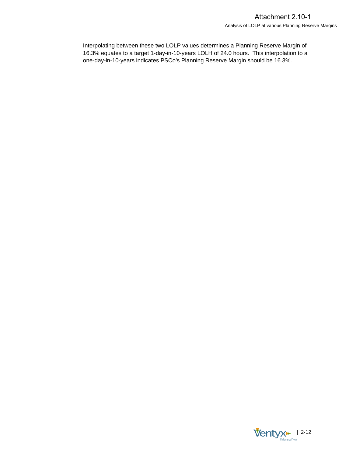Interpolating between these two LOLP values determines a Planning Reserve Margin of 16.3% equates to a target 1-day-in-10-years LOLH of 24.0 hours. This interpolation to a one-day-in-10-years indicates PSCo's Planning Reserve Margin should be 16.3%.

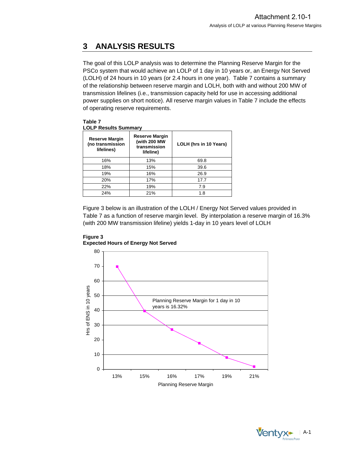# <span id="page-18-0"></span>**3 ANALYSIS RESULTS**

The goal of this LOLP analysis was to determine the Planning Reserve Margin for the PSCo system that would achieve an LOLP of 1 day in 10 years or, an Energy Not Served (LOLH) of 24 hours in 10 years (or 2.4 hours in one year). Table 7 contains a summary of the relationship between reserve margin and LOLH, both with and without 200 MW of transmission lifelines (i.e., transmission capacity held for use in accessing additional power supplies on short notice). All reserve margin values in Table 7 include the effects of operating reserve requirements.

**Table 7 LOLP Results Summary** 

| <b>Reserve Margin</b><br>(no transmission<br>lifelines) | Reserve Margin<br>(with 200 MW<br>transmission<br>lifeline) | LOLH (hrs in 10 Years) |
|---------------------------------------------------------|-------------------------------------------------------------|------------------------|
| 16%                                                     | 13%                                                         | 69.8                   |
| 18%                                                     | 15%                                                         | 39.6                   |
| 19%                                                     | 16%                                                         | 26.9                   |
| 20%                                                     | 17%                                                         | 17.7                   |
| 22%                                                     | 19%                                                         | 7.9                    |
| 24%                                                     | 21%                                                         | 1.8                    |

Figure 3 below is an illustration of the LOLH / Energy Not Served values provided in Table 7 as a function of reserve margin level. By interpolation a reserve margin of 16.3% (with 200 MW transmission lifeline) yields 1-day in 10 years level of LOLH



**Figure 3 Expected Hours of Energy Not Served**